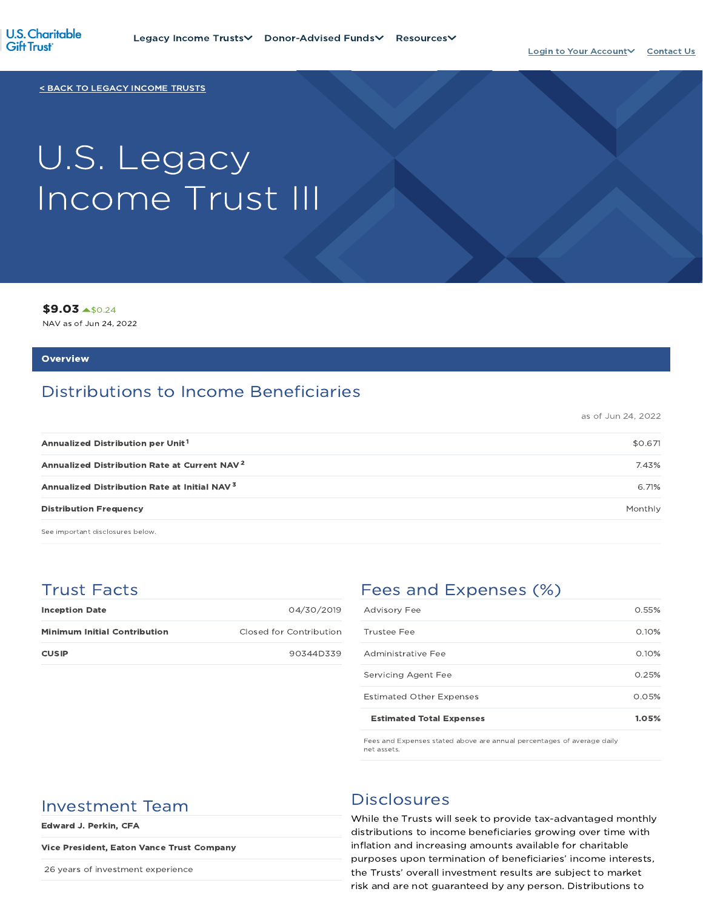

< BACK TO LEGACY INCOME TRUSTS

# U.S. Legacy Income Trust III

\$9.03 \$0.24

NAV as of Jun 24, 2022

#### **Overview**

## Distributions to Income Beneficiaries

as of Jun 24, 2022

| Annualized Distribution per Unit <sup>1</sup>            | \$0.671 |
|----------------------------------------------------------|---------|
| Annualized Distribution Rate at Current NAV <sup>2</sup> | 7.43%   |
| Annualized Distribution Rate at Initial NAV <sup>3</sup> | 6.71%   |
| <b>Distribution Frequency</b>                            | Monthly |

See important disclosures below.

## Trust Facts

| <b>Inception Date</b>               | 04/30/2019              |
|-------------------------------------|-------------------------|
| <b>Minimum Initial Contribution</b> | Closed for Contribution |
| <b>CUSIP</b>                        | 90344D339               |

## Fees and Expenses (%)

| <b>Estimated Total Expenses</b> | 1.05% |
|---------------------------------|-------|
| <b>Estimated Other Expenses</b> | 0.05% |
| Servicing Agent Fee             | 0.25% |
| Administrative Fee              | 0.10% |
| Trustee Fee                     | 0.10% |
| <b>Advisory Fee</b>             | 0.55% |

Fees and Expenses stated above are annual percentages of average daily net assets.

## Investment Team Disclosures

Edward J. Perkin, CFA

#### Vice President, Eaton Vance Trust Company

26 years of investment experience

While the Trusts will seek to provide tax-advantaged monthly distributions to income beneficiaries growing over time with inflation and increasing amounts available for charitable purposes upon termination of beneficiaries' income interests, the Trusts' overall investment results are subject to market risk and are not guaranteed by any person. Distributions to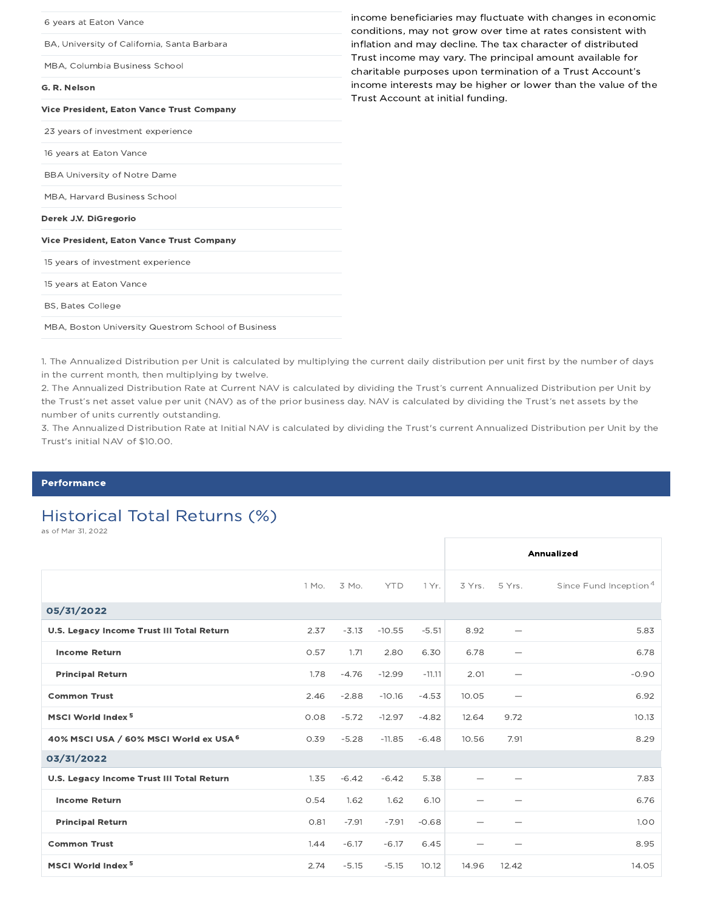| income beneficiaries may fluctuate with changes in economic<br>conditions, may not grow over time at rates consistent with |
|----------------------------------------------------------------------------------------------------------------------------|
| inflation and may decline. The tax character of distributed                                                                |
| Trust income may vary. The principal amount available for<br>charitable purposes upon termination of a Trust Account's     |
| income interests may be higher or lower than the value of the<br>Trust Account at initial funding.                         |
|                                                                                                                            |
|                                                                                                                            |
|                                                                                                                            |
|                                                                                                                            |
|                                                                                                                            |
|                                                                                                                            |
|                                                                                                                            |
|                                                                                                                            |
|                                                                                                                            |
|                                                                                                                            |
|                                                                                                                            |
|                                                                                                                            |

1. The Annualized Distribution per Unit is calculated by multiplying the current daily distribution per unit first by the number of days in the current month, then multiplying by twelve.

2. The Annualized Distribution Rate at Current NAV is calculated by dividing the Trust's current Annualized Distribution per Unit by the Trust's net asset value per unit (NAV) as of the prior business day. NAV is calculated by dividing the Trust's net assets by the number of units currently outstanding.

3. The Annualized Distribution Rate at Initial NAV is calculated by dividing the Trust's current Annualized Distribution per Unit by the Trust's initial NAV of \$10.00.

#### **Performance**

## Historical Total Returns (%)

as of Mar 31, 2022

|                                           |       |         |            |          |       |                          | Annualized                        |
|-------------------------------------------|-------|---------|------------|----------|-------|--------------------------|-----------------------------------|
|                                           | 1 Mo. | 3 Mo.   | <b>YTD</b> | 1 Yr.    |       | 3 Yrs. 5 Yrs.            | Since Fund Inception <sup>4</sup> |
| 05/31/2022                                |       |         |            |          |       |                          |                                   |
| U.S. Legacy Income Trust III Total Return | 2.37  | $-3.13$ | $-10.55$   | $-5.51$  | 8.92  |                          | 5.83                              |
| <b>Income Return</b>                      | 0.57  | 1.71    | 2.80       | 6.30     | 6.78  | $\overline{\phantom{0}}$ | 6.78                              |
| <b>Principal Return</b>                   | 1.78  | $-4.76$ | $-12.99$   | $-11.11$ | 2.01  |                          | $-0.90$                           |
| <b>Common Trust</b>                       | 2.46  | $-2.88$ | $-10.16$   | $-4.53$  | 10.05 | $\overline{\phantom{0}}$ | 6.92                              |
| MSCI World Index <sup>5</sup>             | 0.08  | $-5.72$ | $-12.97$   | $-4.82$  | 12.64 | 9.72                     | 10.13                             |
| 40% MSCI USA / 60% MSCI World ex USA 6    | 0.39  | $-5.28$ | $-11.85$   | $-6.48$  | 10.56 | 7.91                     | 8.29                              |
| 03/31/2022                                |       |         |            |          |       |                          |                                   |
| U.S. Legacy Income Trust III Total Return | 1.35  | $-6.42$ | $-6.42$    | 5.38     |       |                          | 7.83                              |
| <b>Income Return</b>                      | 0.54  | 1.62    | 1.62       | 6.10     |       |                          | 6.76                              |
| <b>Principal Return</b>                   | 0.81  | $-7.91$ | $-7.91$    | $-0.68$  |       |                          | 1.00                              |
| <b>Common Trust</b>                       | 1.44  | $-6.17$ | $-6.17$    | 6.45     |       |                          | 8.95                              |
| MSCI World Index <sup>5</sup>             | 2.74  | $-5.15$ | $-5.15$    | 10.12    | 14.96 | 12.42                    | 14.05                             |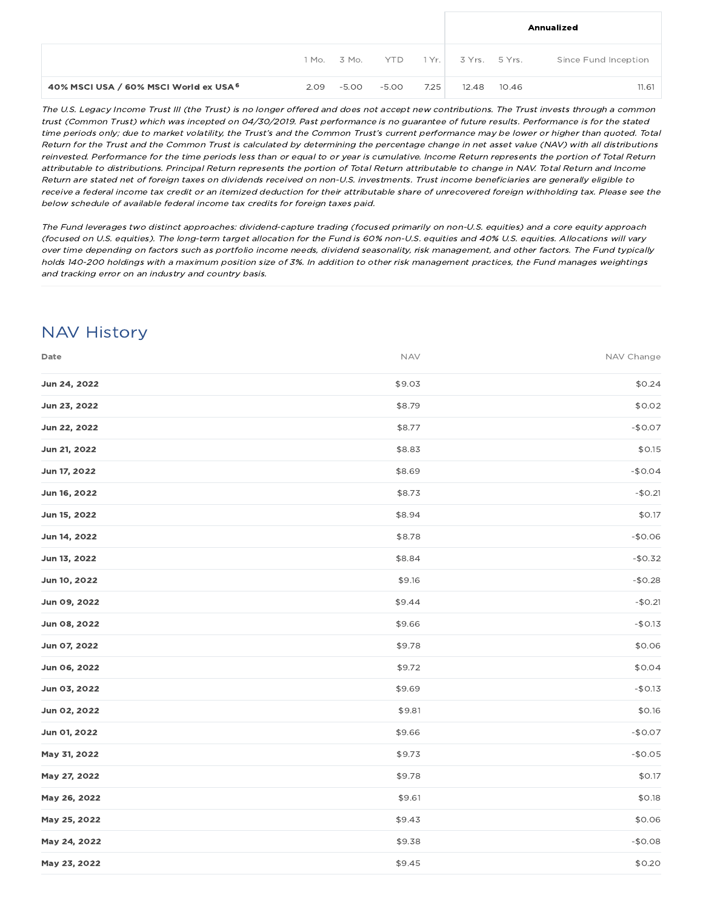|                                        |                 |       |      |                     |       | Annualized           |
|----------------------------------------|-----------------|-------|------|---------------------|-------|----------------------|
|                                        | 1 Mo. 3 Mo. YTD |       |      | 1 Yr. 3 Yrs. 5 Yrs. |       | Since Fund Inception |
| 40% MSCI USA / 60% MSCI World ex USA 6 | $2.09 - 5.00$   | -5.00 | 7.25 | 12.48               | 10.46 | 11.61                |

The U.S. Legacy Income Trust III (the Trust) is no longer offered and does not accept new contributions. The Trust invests through <sup>a</sup> common trust (Common Trust) which was incepted on 04/30/2019. Past performance is no guarantee of future results. Performance is for the stated time periods only; due to market volatility, the Trust's and the Common Trust's current performance may be lower or higher than quoted. Total Return for the Trust and the Common Trust is calculated by determining the percentage change in net asset value (NAV) with all distributions reinvested. Performance for the time periods less than or equal to or year is cumulative. Income Return represents the portion of Total Return attributable to distributions. Principal Return represents the portion of Total Return attributable to change in NAV. Total Return and Income Return are stated net of foreign taxes on dividends received on non-U.S. investments. Trust income beneficiaries are generally eligible to receive <sup>a</sup> federal income tax credit or an itemized deduction for their attributable share of unrecovered foreign withholding tax. Please see the below schedule of available federal income tax credits for foreign taxes paid.

The Fund leverages two distinct approaches: dividend-capture trading (focused primarily on non-U.S. equities) and <sup>a</sup> core equity approach (focused on U.S. equities). The long-term target allocation for the Fund is 60% non-U.S. equities and 40% U.S. equities. Allocations will vary over time depending on factors such as portfolio income needs, dividend seasonality, risk management, and other factors. The Fund typically holds 140-200 holdings with <sup>a</sup> maximum position size of 3%. In addition to other risk management practices, the Fund manages weightings and tracking error on an industry and country basis.

## NAV History

| Date         | <b>NAV</b> | NAV Change |
|--------------|------------|------------|
| Jun 24, 2022 | \$9.03     | \$0.24     |
| Jun 23, 2022 | \$8.79     | \$0.02     |
| Jun 22, 2022 | \$8.77     | $-$0.07$   |
| Jun 21, 2022 | \$8.83     | \$0.15     |
| Jun 17, 2022 | \$8.69     | $-$0.04$   |
| Jun 16, 2022 | \$8.73     | $-$0.21$   |
| Jun 15, 2022 | \$8.94     | \$0.17     |
| Jun 14, 2022 | \$8.78     | $-$0.06$   |
| Jun 13, 2022 | \$8.84     | $-$0.32$   |
| Jun 10, 2022 | \$9.16     | $-$0.28$   |
| Jun 09, 2022 | \$9.44     | $-$0.21$   |
| Jun 08, 2022 | \$9.66     | $-$0.13$   |
| Jun 07, 2022 | \$9.78     | \$0.06     |
| Jun 06, 2022 | \$9.72     | \$0.04     |
| Jun 03, 2022 | \$9.69     | $-$0.13$   |
| Jun 02, 2022 | \$9.81     | \$0.16     |
| Jun 01, 2022 | \$9.66     | $-$0.07$   |
| May 31, 2022 | \$9.73     | $-$0.05$   |
| May 27, 2022 | \$9.78     | \$0.17     |
| May 26, 2022 | \$9.61     | \$0.18     |
| May 25, 2022 | \$9.43     | \$0.06     |
| May 24, 2022 | \$9.38     | $-$0.08$   |
| May 23, 2022 | \$9.45     | \$0.20     |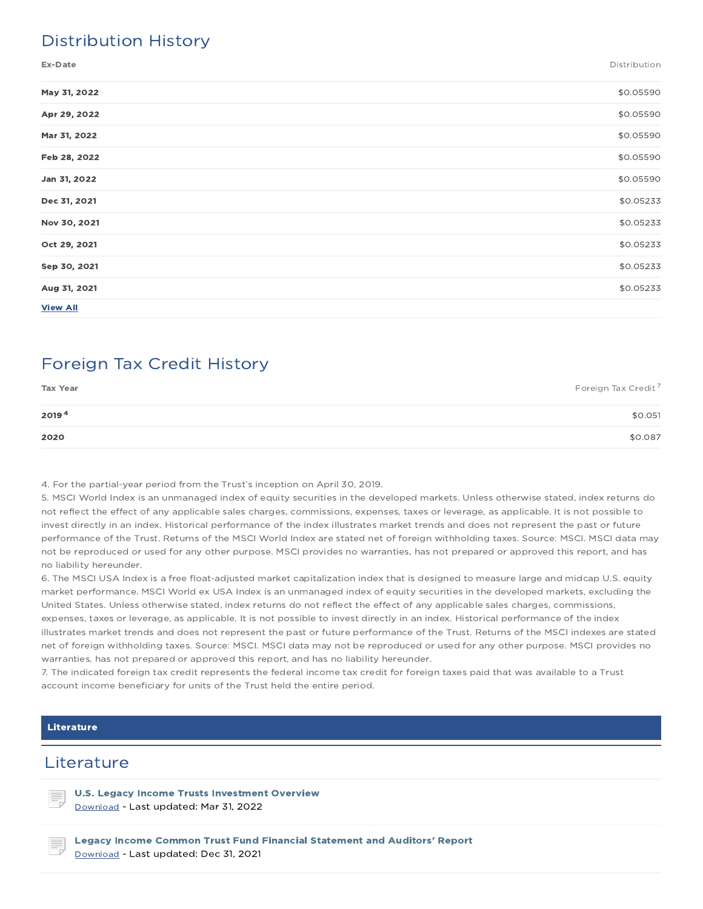## Distribution History

| May 31, 2022    | \$0.05590 |
|-----------------|-----------|
| Apr 29, 2022    | \$0.05590 |
| Mar 31, 2022    | \$0.05590 |
| Feb 28, 2022    | \$0.05590 |
| Jan 31, 2022    | \$0.05590 |
| Dec 31, 2021    | \$0.05233 |
| Nov 30, 2021    | \$0.05233 |
| Oct 29, 2021    | \$0.05233 |
| Sep 30, 2021    | \$0.05233 |
| Aug 31, 2021    | \$0.05233 |
| <b>View All</b> |           |

## Foreign Tax Credit History

| <b>Tax Year</b> | Foreign Tax Credit <sup>7</sup> |
|-----------------|---------------------------------|
| 20194           | \$0.051                         |
| 2020            | \$0.087                         |

4. For the partial-year period from the Trust's inception on April 30, 2019.

5. MSCI World Index is an unmanaged index of equity securities in the developed markets. Unless otherwise stated, index returns do not reflect the effect of any applicable sales charges, commissions, expenses, taxes or leverage, as applicable. It is not possible to invest directly in an index. Historical performance of the index illustrates market trends and does not represent the past or future performance of the Trust. Returns of the MSCI World Index are stated net of foreign withholding taxes. Source: MSCI. MSCI data may not be reproduced or used for any other purpose. MSCI provides no warranties, has not prepared or approved this report, and has no liability hereunder.

6. The MSCI USA Index is a free float-adjusted market capitalization index that is designed to measure large and midcap U.S. equity market performance. MSCI World ex USA Index is an unmanaged index of equity securities in the developed markets, excluding the United States. Unless otherwise stated, index returns do not reflect the effect of any applicable sales charges, commissions, expenses, taxes or leverage, as applicable. It is not possible to invest directly in an index. Historical performance of the index illustrates market trends and does not represent the past or future performance of the Trust. Returns of the MSCI indexes are stated net of foreign withholding taxes. Source: MSCI. MSCI data may not be reproduced or used for any other purpose. MSCI provides no warranties, has not prepared or approved this report, and has no liability hereunder.

7. The indicated foreign tax credit represents the federal income tax credit for foreign taxes paid that was available to a Trust account income beneficiary for units of the Trust held the entire period.

#### Literature

### **Literature**

U.S. Legacy Income Trusts Investment Overview Download - Last updated: Mar 31, 2022

Legacy Income Common Trust Fund Financial Statement and Auditors' Report Download - Last updated: Dec 31, 2021

Ex-Date Distribution